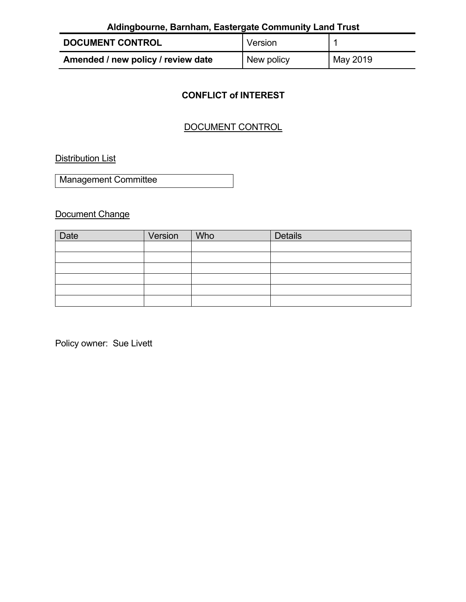| Aldingbourne, Barnham, Eastergate Community Land Trust |            |          |  |  |  |
|--------------------------------------------------------|------------|----------|--|--|--|
| <b>DOCUMENT CONTROL</b>                                | Version    |          |  |  |  |
| Amended / new policy / review date                     | New policy | May 2019 |  |  |  |

# **CONFLICT of INTEREST**

# DOCUMENT CONTROL

**Distribution List** 

Management Committee

Document Change

| Date | Version | Who | <b>Details</b> |
|------|---------|-----|----------------|
|      |         |     |                |
|      |         |     |                |
|      |         |     |                |
|      |         |     |                |
|      |         |     |                |
|      |         |     |                |

Policy owner: Sue Livett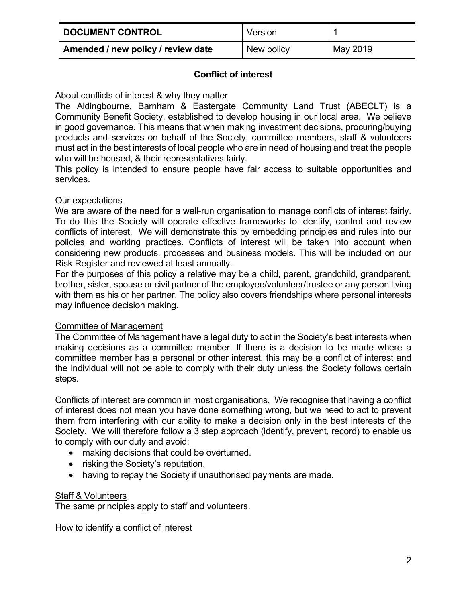| <b>DOCUMENT CONTROL</b>            | Version    |          |
|------------------------------------|------------|----------|
| Amended / new policy / review date | New policy | May 2019 |

## **Conflict of interest**

## About conflicts of interest & why they matter

The Aldingbourne, Barnham & Eastergate Community Land Trust (ABECLT) is a Community Benefit Society, established to develop housing in our local area. We believe in good governance. This means that when making investment decisions, procuring/buying products and services on behalf of the Society, committee members, staff & volunteers must act in the best interests of local people who are in need of housing and treat the people who will be housed, & their representatives fairly.

This policy is intended to ensure people have fair access to suitable opportunities and services.

## Our expectations

We are aware of the need for a well-run organisation to manage conflicts of interest fairly. To do this the Society will operate effective frameworks to identify, control and review conflicts of interest. We will demonstrate this by embedding principles and rules into our policies and working practices. Conflicts of interest will be taken into account when considering new products, processes and business models. This will be included on our Risk Register and reviewed at least annually.

For the purposes of this policy a relative may be a child, parent, grandchild, grandparent, brother, sister, spouse or civil partner of the employee/volunteer/trustee or any person living with them as his or her partner. The policy also covers friendships where personal interests may influence decision making.

## Committee of Management

The Committee of Management have a legal duty to act in the Society's best interests when making decisions as a committee member. If there is a decision to be made where a committee member has a personal or other interest, this may be a conflict of interest and the individual will not be able to comply with their duty unless the Society follows certain steps.

Conflicts of interest are common in most organisations. We recognise that having a conflict of interest does not mean you have done something wrong, but we need to act to prevent them from interfering with our ability to make a decision only in the best interests of the Society. We will therefore follow a 3 step approach (identify, prevent, record) to enable us to comply with our duty and avoid:

- making decisions that could be overturned.
- risking the Society's reputation.
- having to repay the Society if unauthorised payments are made.

## Staff & Volunteers

The same principles apply to staff and volunteers.

#### How to identify a conflict of interest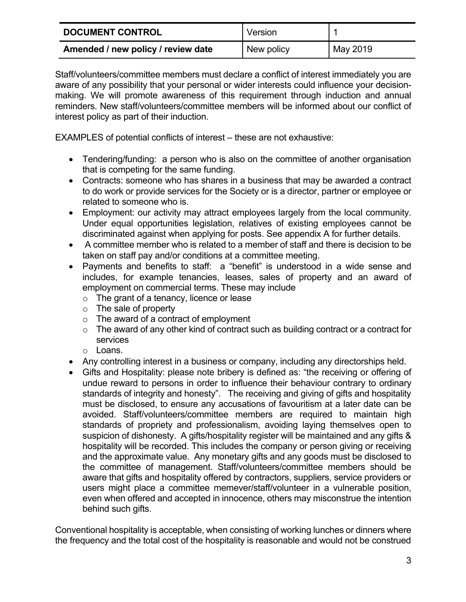| <b>DOCUMENT CONTROL</b>            | Version    |          |
|------------------------------------|------------|----------|
| Amended / new policy / review date | New policy | May 2019 |

Staff/volunteers/committee members must declare a conflict of interest immediately you are aware of any possibility that your personal or wider interests could influence your decisionmaking. We will promote awareness of this requirement through induction and annual reminders. New staff/volunteers/committee members will be informed about our conflict of interest policy as part of their induction.

EXAMPLES of potential conflicts of interest – these are not exhaustive:

- Tendering/funding: a person who is also on the committee of another organisation that is competing for the same funding.
- Contracts: someone who has shares in a business that may be awarded a contract to do work or provide services for the Society or is a director, partner or employee or related to someone who is.
- Employment: our activity may attract employees largely from the local community. Under equal opportunities legislation, relatives of existing employees cannot be discriminated against when applying for posts. See appendix A for further details.
- A committee member who is related to a member of staff and there is decision to be taken on staff pay and/or conditions at a committee meeting.
- Payments and benefits to staff: a "benefit" is understood in a wide sense and includes, for example tenancies, leases, sales of property and an award of employment on commercial terms. These may include
	- o The grant of a tenancy, licence or lease
	- o The sale of property
	- o The award of a contract of employment
	- o The award of any other kind of contract such as building contract or a contract for services
	- o Loans.
- Any controlling interest in a business or company, including any directorships held.
- Gifts and Hospitality: please note bribery is defined as: "the receiving or offering of undue reward to persons in order to influence their behaviour contrary to ordinary standards of integrity and honesty". The receiving and giving of gifts and hospitality must be disclosed, to ensure any accusations of favouritism at a later date can be avoided. Staff/volunteers/committee members are required to maintain high standards of propriety and professionalism, avoiding laying themselves open to suspicion of dishonesty. A gifts/hospitality register will be maintained and any gifts & hospitality will be recorded. This includes the company or person giving or receiving and the approximate value. Any monetary gifts and any goods must be disclosed to the committee of management. Staff/volunteers/committee members should be aware that gifts and hospitality offered by contractors, suppliers, service providers or users might place a committee memever/staff/volunteer in a vulnerable position, even when offered and accepted in innocence, others may misconstrue the intention behind such gifts.

Conventional hospitality is acceptable, when consisting of working lunches or dinners where the frequency and the total cost of the hospitality is reasonable and would not be construed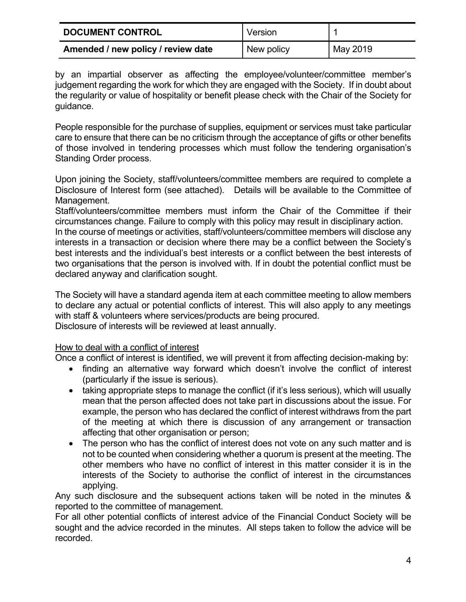| <b>DOCUMENT CONTROL</b>            | Version    |          |
|------------------------------------|------------|----------|
| Amended / new policy / review date | New policy | May 2019 |

by an impartial observer as affecting the employee/volunteer/committee member's judgement regarding the work for which they are engaged with the Society. If in doubt about the regularity or value of hospitality or benefit please check with the Chair of the Society for guidance.

People responsible for the purchase of supplies, equipment or services must take particular care to ensure that there can be no criticism through the acceptance of gifts or other benefits of those involved in tendering processes which must follow the tendering organisation's Standing Order process.

Upon joining the Society, staff/volunteers/committee members are required to complete a Disclosure of Interest form (see attached). Details will be available to the Committee of Management.

Staff/volunteers/committee members must inform the Chair of the Committee if their circumstances change. Failure to comply with this policy may result in disciplinary action.

In the course of meetings or activities, staff/volunteers/committee members will disclose any interests in a transaction or decision where there may be a conflict between the Society's best interests and the individual's best interests or a conflict between the best interests of two organisations that the person is involved with. If in doubt the potential conflict must be declared anyway and clarification sought.

The Society will have a standard agenda item at each committee meeting to allow members to declare any actual or potential conflicts of interest. This will also apply to any meetings with staff & volunteers where services/products are being procured. Disclosure of interests will be reviewed at least annually.

## How to deal with a conflict of interest

Once a conflict of interest is identified, we will prevent it from affecting decision-making by:

- finding an alternative way forward which doesn't involve the conflict of interest (particularly if the issue is serious).
- taking appropriate steps to manage the conflict (if it's less serious), which will usually mean that the person affected does not take part in discussions about the issue. For example, the person who has declared the conflict of interest withdraws from the part of the meeting at which there is discussion of any arrangement or transaction affecting that other organisation or person;
- The person who has the conflict of interest does not vote on any such matter and is not to be counted when considering whether a quorum is present at the meeting. The other members who have no conflict of interest in this matter consider it is in the interests of the Society to authorise the conflict of interest in the circumstances applying.

Any such disclosure and the subsequent actions taken will be noted in the minutes & reported to the committee of management.

For all other potential conflicts of interest advice of the Financial Conduct Society will be sought and the advice recorded in the minutes. All steps taken to follow the advice will be recorded.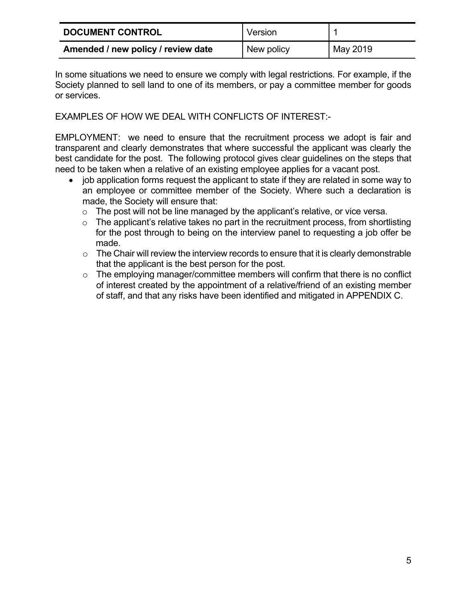| <b>DOCUMENT CONTROL</b>            | Version    |          |
|------------------------------------|------------|----------|
| Amended / new policy / review date | New policy | May 2019 |

In some situations we need to ensure we comply with legal restrictions. For example, if the Society planned to sell land to one of its members, or pay a committee member for goods or services.

EXAMPLES OF HOW WE DEAL WITH CONFLICTS OF INTEREST:-

EMPLOYMENT: we need to ensure that the recruitment process we adopt is fair and transparent and clearly demonstrates that where successful the applicant was clearly the best candidate for the post. The following protocol gives clear guidelines on the steps that need to be taken when a relative of an existing employee applies for a vacant post.

- job application forms request the applicant to state if they are related in some way to an employee or committee member of the Society. Where such a declaration is made, the Society will ensure that:
	- $\circ$  The post will not be line managed by the applicant's relative, or vice versa.
	- $\circ$  The applicant's relative takes no part in the recruitment process, from shortlisting for the post through to being on the interview panel to requesting a job offer be made.
	- $\circ$  The Chair will review the interview records to ensure that it is clearly demonstrable that the applicant is the best person for the post.
	- o The employing manager/committee members will confirm that there is no conflict of interest created by the appointment of a relative/friend of an existing member of staff, and that any risks have been identified and mitigated in APPENDIX C.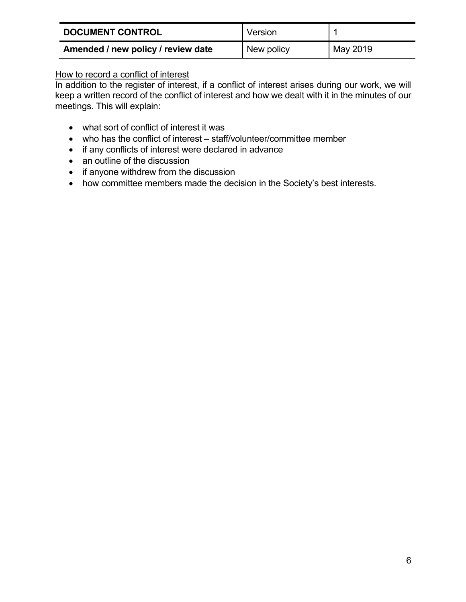| <b>DOCUMENT CONTROL</b>            | Version    |          |
|------------------------------------|------------|----------|
| Amended / new policy / review date | New policy | May 2019 |

## How to record a conflict of interest

In addition to the register of interest, if a conflict of interest arises during our work, we will keep a written record of the conflict of interest and how we dealt with it in the minutes of our meetings. This will explain:

- what sort of conflict of interest it was
- who has the conflict of interest staff/volunteer/committee member
- if any conflicts of interest were declared in advance
- an outline of the discussion
- if anyone withdrew from the discussion
- how committee members made the decision in the Society's best interests.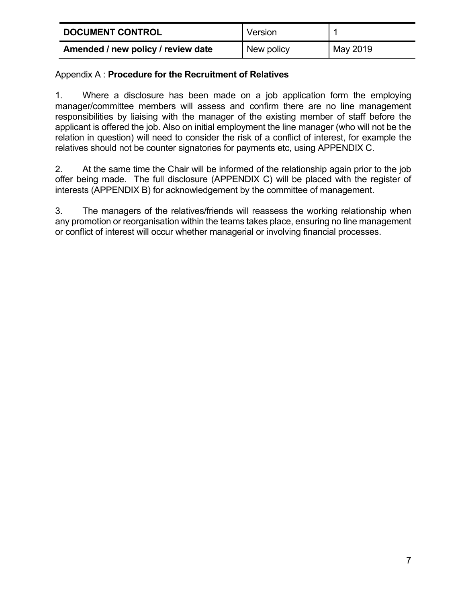| <b>DOCUMENT CONTROL</b>            | Version    |          |
|------------------------------------|------------|----------|
| Amended / new policy / review date | New policy | May 2019 |

## Appendix A : **Procedure for the Recruitment of Relatives**

1. Where a disclosure has been made on a job application form the employing manager/committee members will assess and confirm there are no line management responsibilities by liaising with the manager of the existing member of staff before the applicant is offered the job. Also on initial employment the line manager (who will not be the relation in question) will need to consider the risk of a conflict of interest, for example the relatives should not be counter signatories for payments etc, using APPENDIX C.

2. At the same time the Chair will be informed of the relationship again prior to the job offer being made. The full disclosure (APPENDIX C) will be placed with the register of interests (APPENDIX B) for acknowledgement by the committee of management.

3. The managers of the relatives/friends will reassess the working relationship when any promotion or reorganisation within the teams takes place, ensuring no line management or conflict of interest will occur whether managerial or involving financial processes.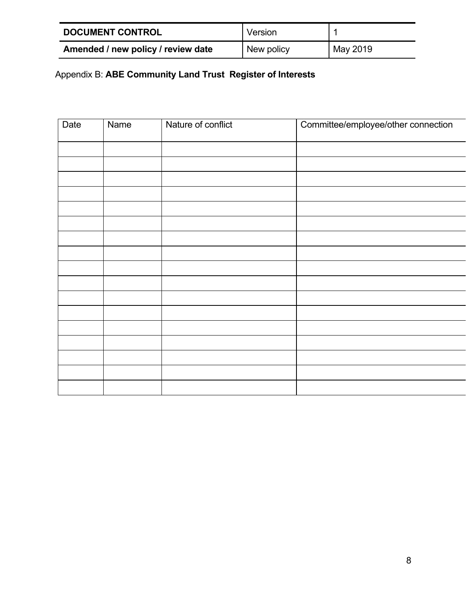| <b>DOCUMENT CONTROL</b>            | Version    |          |
|------------------------------------|------------|----------|
| Amended / new policy / review date | New policy | May 2019 |

# Appendix B: **ABE Community Land Trust Register of Interests**

| Date | <b>Name</b> | Nature of conflict | Committee/employee/other connection |
|------|-------------|--------------------|-------------------------------------|
|      |             |                    |                                     |
|      |             |                    |                                     |
|      |             |                    |                                     |
|      |             |                    |                                     |
|      |             |                    |                                     |
|      |             |                    |                                     |
|      |             |                    |                                     |
|      |             |                    |                                     |
|      |             |                    |                                     |
|      |             |                    |                                     |
|      |             |                    |                                     |
|      |             |                    |                                     |
|      |             |                    |                                     |
|      |             |                    |                                     |
|      |             |                    |                                     |
|      |             |                    |                                     |
|      |             |                    |                                     |
|      |             |                    |                                     |